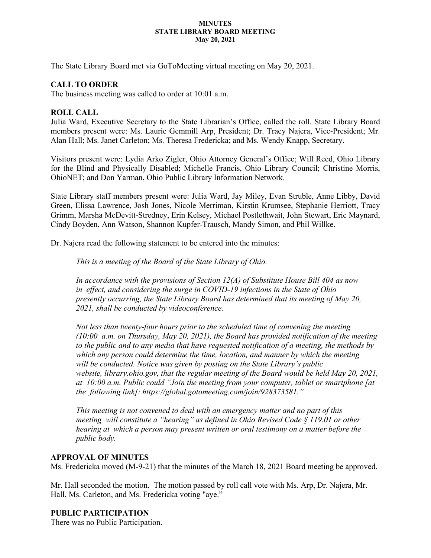#### **MINUTES STATE LIBRARY BOARD MEETING May 20, 2021**

The State Library Board met via GoToMeeting virtual meeting on May 20, 2021.

## **CALL TO ORDER**

The business meeting was called to order at 10:01 a.m.

## **ROLL CALL**

Julia Ward, Executive Secretary to the State Librarian's Office, called the roll. State Library Board members present were: Ms. Laurie Gemmill Arp, President; Dr. Tracy Najera, Vice-President; Mr. Alan Hall; Ms. Janet Carleton; Ms. Theresa Fredericka; and Ms. Wendy Knapp, Secretary.

Visitors present were: Lydia Arko Zigler, Ohio Attorney General's Office; Will Reed, Ohio Library for the Blind and Physically Disabled; Michelle Francis, Ohio Library Council; Christine Morris, OhioNET; and Don Yarman, Ohio Public Library Information Network.

State Library staff members present were: Julia Ward, Jay Miley, Evan Struble, Anne Libby, David Green, Elissa Lawrence, Josh Jones, Nicole Merriman, Kirstin Krumsee, Stephanie Herriott, Tracy Grimm, Marsha McDevitt-Stredney, Erin Kelsey, Michael Postlethwait, John Stewart, Eric Maynard, Cindy Boyden, Ann Watson, Shannon Kupfer-Trausch, Mandy Simon, and Phil Willke.

Dr. Najera read the following statement to be entered into the minutes:

*This is a meeting of the Board of the State Library of Ohio.*

*In accordance with the provisions of Section 12(A) of Substitute House Bill 404 as now in effect, and considering the surge in COVID-19 infections in the State of Ohio presently occurring, the State Library Board has determined that its meeting of May 20, 2021, shall be conducted by videoconference.* 

*Not less than twenty-four hours prior to the scheduled time of convening the meeting (10:00 a.m. on Thursday, May 20, 2021), the Board has provided notification of the meeting to the public and to any media that have requested notification of a meeting, the methods by which any person could determine the time, location, and manner by which the meeting will be conducted. Notice was given by posting on the State Library's public website, library.ohio.gov, that the regular meeting of the Board would be held May 20, 2021, at 10:00 a.m. Public could "Join the meeting from your computer, tablet or smartphone [at the following link]: https://global.gotomeeting.com/join/928373581."*

*This meeting is not convened to deal with an emergency matter and no part of this meeting will constitute a "hearing" as defined in Ohio Revised Code § 119.01 or other hearing at which a person may present written or oral testimony on a matter before the public body.*

## **APPROVAL OF MINUTES**

Ms. Fredericka moved (M-9-21) that the minutes of the March 18, 2021 Board meeting be approved.

Mr. Hall seconded the motion. The motion passed by roll call vote with Ms. Arp, Dr. Najera, Mr. Hall, Ms. Carleton, and Ms. Fredericka voting "aye."

## **PUBLIC PARTICIPATION**

There was no Public Participation.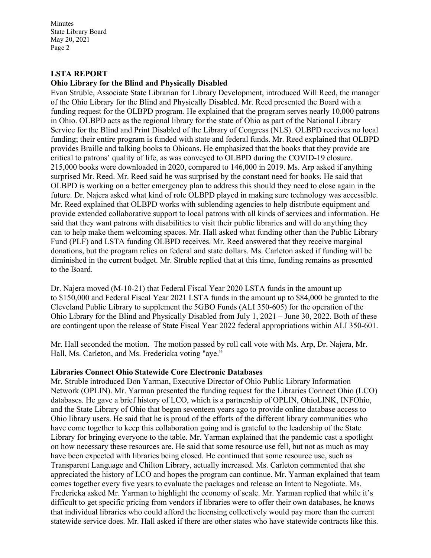### **LSTA REPORT**

#### **Ohio Library for the Blind and Physically Disabled**

Evan Struble, Associate State Librarian for Library Development, introduced Will Reed, the manager of the Ohio Library for the Blind and Physically Disabled. Mr. Reed presented the Board with a funding request for the OLBPD program. He explained that the program serves nearly 10,000 patrons in Ohio. OLBPD acts as the regional library for the state of Ohio as part of the National Library Service for the Blind and Print Disabled of the Library of Congress (NLS). OLBPD receives no local funding; their entire program is funded with state and federal funds. Mr. Reed explained that OLBPD provides Braille and talking books to Ohioans. He emphasized that the books that they provide are critical to patrons' quality of life, as was conveyed to OLBPD during the COVID-19 closure. 215,000 books were downloaded in 2020, compared to 146,000 in 2019. Ms. Arp asked if anything surprised Mr. Reed. Mr. Reed said he was surprised by the constant need for books. He said that OLBPD is working on a better emergency plan to address this should they need to close again in the future. Dr. Najera asked what kind of role OLBPD played in making sure technology was accessible. Mr. Reed explained that OLBPD works with sublending agencies to help distribute equipment and provide extended collaborative support to local patrons with all kinds of services and information. He said that they want patrons with disabilities to visit their public libraries and will do anything they can to help make them welcoming spaces. Mr. Hall asked what funding other than the Public Library Fund (PLF) and LSTA funding OLBPD receives. Mr. Reed answered that they receive marginal donations, but the program relies on federal and state dollars. Ms. Carleton asked if funding will be diminished in the current budget. Mr. Struble replied that at this time, funding remains as presented to the Board.

Dr. Najera moved (M-10-21) that Federal Fiscal Year 2020 LSTA funds in the amount up to \$150,000 and Federal Fiscal Year 2021 LSTA funds in the amount up to \$84,000 be granted to the Cleveland Public Library to supplement the 5GBO Funds (ALI 350-605) for the operation of the Ohio Library for the Blind and Physically Disabled from July 1, 2021 – June 30, 2022. Both of these are contingent upon the release of State Fiscal Year 2022 federal appropriations within ALI 350-601.

Mr. Hall seconded the motion. The motion passed by roll call vote with Ms. Arp, Dr. Najera, Mr. Hall, Ms. Carleton, and Ms. Fredericka voting "aye."

#### **Libraries Connect Ohio Statewide Core Electronic Databases**

Mr. Struble introduced Don Yarman, Executive Director of Ohio Public Library Information Network (OPLIN). Mr. Yarman presented the funding request for the Libraries Connect Ohio (LCO) databases. He gave a brief history of LCO, which is a partnership of OPLIN, OhioLINK, INFOhio, and the State Library of Ohio that began seventeen years ago to provide online database access to Ohio library users. He said that he is proud of the efforts of the different library communities who have come together to keep this collaboration going and is grateful to the leadership of the State Library for bringing everyone to the table. Mr. Yarman explained that the pandemic cast a spotlight on how necessary these resources are. He said that some resource use fell, but not as much as may have been expected with libraries being closed. He continued that some resource use, such as Transparent Language and Chilton Library, actually increased. Ms. Carleton commented that she appreciated the history of LCO and hopes the program can continue. Mr. Yarman explained that team comes together every five years to evaluate the packages and release an Intent to Negotiate. Ms. Fredericka asked Mr. Yarman to highlight the economy of scale. Mr. Yarman replied that while it's difficult to get specific pricing from vendors if libraries were to offer their own databases, he knows that individual libraries who could afford the licensing collectively would pay more than the current statewide service does. Mr. Hall asked if there are other states who have statewide contracts like this.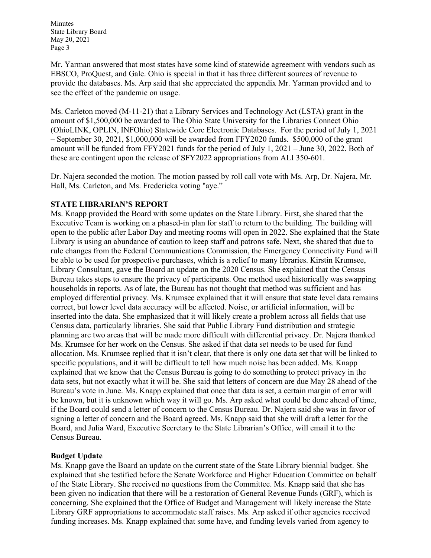Mr. Yarman answered that most states have some kind of statewide agreement with vendors such as EBSCO, ProQuest, and Gale. Ohio is special in that it has three different sources of revenue to provide the databases. Ms. Arp said that she appreciated the appendix Mr. Yarman provided and to see the effect of the pandemic on usage.

Ms. Carleton moved (M-11-21) that a Library Services and Technology Act (LSTA) grant in the amount of \$1,500,000 be awarded to The Ohio State University for the Libraries Connect Ohio (OhioLINK, OPLIN, INFOhio) Statewide Core Electronic Databases. For the period of July 1, 2021 – September 30, 2021, \$1,000,000 will be awarded from FFY2020 funds. \$500,000 of the grant amount will be funded from FFY2021 funds for the period of July 1, 2021 – June 30, 2022. Both of these are contingent upon the release of SFY2022 appropriations from ALI 350-601.

Dr. Najera seconded the motion. The motion passed by roll call vote with Ms. Arp, Dr. Najera, Mr. Hall, Ms. Carleton, and Ms. Fredericka voting "aye."

## **STATE LIBRARIAN'S REPORT**

Ms. Knapp provided the Board with some updates on the State Library. First, she shared that the Executive Team is working on a phased-in plan for staff to return to the building. The building will open to the public after Labor Day and meeting rooms will open in 2022. She explained that the State Library is using an abundance of caution to keep staff and patrons safe. Next, she shared that due to rule changes from the Federal Communications Commission, the Emergency Connectivity Fund will be able to be used for prospective purchases, which is a relief to many libraries. Kirstin Krumsee, Library Consultant, gave the Board an update on the 2020 Census. She explained that the Census Bureau takes steps to ensure the privacy of participants. One method used historically was swapping households in reports. As of late, the Bureau has not thought that method was sufficient and has employed differential privacy. Ms. Krumsee explained that it will ensure that state level data remains correct, but lower level data accuracy will be affected. Noise, or artificial information, will be inserted into the data. She emphasized that it will likely create a problem across all fields that use Census data, particularly libraries. She said that Public Library Fund distribution and strategic planning are two areas that will be made more difficult with differential privacy. Dr. Najera thanked Ms. Krumsee for her work on the Census. She asked if that data set needs to be used for fund allocation. Ms. Krumsee replied that it isn't clear, that there is only one data set that will be linked to specific populations, and it will be difficult to tell how much noise has been added. Ms. Knapp explained that we know that the Census Bureau is going to do something to protect privacy in the data sets, but not exactly what it will be. She said that letters of concern are due May 28 ahead of the Bureau's vote in June. Ms. Knapp explained that once that data is set, a certain margin of error will be known, but it is unknown which way it will go. Ms. Arp asked what could be done ahead of time, if the Board could send a letter of concern to the Census Bureau. Dr. Najera said she was in favor of signing a letter of concern and the Board agreed. Ms. Knapp said that she will draft a letter for the Board, and Julia Ward, Executive Secretary to the State Librarian's Office, will email it to the Census Bureau.

## **Budget Update**

Ms. Knapp gave the Board an update on the current state of the State Library biennial budget. She explained that she testified before the Senate Workforce and Higher Education Committee on behalf of the State Library. She received no questions from the Committee. Ms. Knapp said that she has been given no indication that there will be a restoration of General Revenue Funds (GRF), which is concerning. She explained that the Office of Budget and Management will likely increase the State Library GRF appropriations to accommodate staff raises. Ms. Arp asked if other agencies received funding increases. Ms. Knapp explained that some have, and funding levels varied from agency to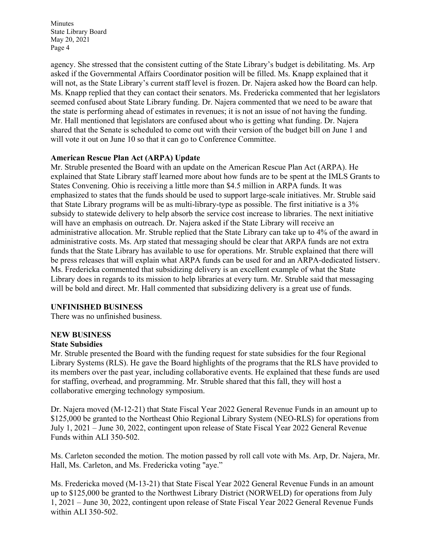agency. She stressed that the consistent cutting of the State Library's budget is debilitating. Ms. Arp asked if the Governmental Affairs Coordinator position will be filled. Ms. Knapp explained that it will not, as the State Library's current staff level is frozen. Dr. Najera asked how the Board can help. Ms. Knapp replied that they can contact their senators. Ms. Fredericka commented that her legislators seemed confused about State Library funding. Dr. Najera commented that we need to be aware that the state is performing ahead of estimates in revenues; it is not an issue of not having the funding. Mr. Hall mentioned that legislators are confused about who is getting what funding. Dr. Najera shared that the Senate is scheduled to come out with their version of the budget bill on June 1 and will vote it out on June 10 so that it can go to Conference Committee.

### **American Rescue Plan Act (ARPA) Update**

Mr. Struble presented the Board with an update on the American Rescue Plan Act (ARPA). He explained that State Library staff learned more about how funds are to be spent at the IMLS Grants to States Convening. Ohio is receiving a little more than \$4.5 million in ARPA funds. It was emphasized to states that the funds should be used to support large-scale initiatives. Mr. Struble said that State Library programs will be as multi-library-type as possible. The first initiative is a 3% subsidy to statewide delivery to help absorb the service cost increase to libraries. The next initiative will have an emphasis on outreach. Dr. Najera asked if the State Library will receive an administrative allocation. Mr. Struble replied that the State Library can take up to 4% of the award in administrative costs. Ms. Arp stated that messaging should be clear that ARPA funds are not extra funds that the State Library has available to use for operations. Mr. Struble explained that there will be press releases that will explain what ARPA funds can be used for and an ARPA-dedicated listserv. Ms. Fredericka commented that subsidizing delivery is an excellent example of what the State Library does in regards to its mission to help libraries at every turn. Mr. Struble said that messaging will be bold and direct. Mr. Hall commented that subsidizing delivery is a great use of funds.

#### **UNFINISHED BUSINESS**

There was no unfinished business.

# **NEW BUSINESS**

#### **State Subsidies**

Mr. Struble presented the Board with the funding request for state subsidies for the four Regional Library Systems (RLS). He gave the Board highlights of the programs that the RLS have provided to its members over the past year, including collaborative events. He explained that these funds are used for staffing, overhead, and programming. Mr. Struble shared that this fall, they will host a collaborative emerging technology symposium.

Dr. Najera moved (M-12-21) that State Fiscal Year 2022 General Revenue Funds in an amount up to \$125,000 be granted to the Northeast Ohio Regional Library System (NEO-RLS) for operations from July 1, 2021 – June 30, 2022, contingent upon release of State Fiscal Year 2022 General Revenue Funds within ALI 350-502.

Ms. Carleton seconded the motion. The motion passed by roll call vote with Ms. Arp, Dr. Najera, Mr. Hall, Ms. Carleton, and Ms. Fredericka voting "aye."

Ms. Fredericka moved (M-13-21) that State Fiscal Year 2022 General Revenue Funds in an amount up to \$125,000 be granted to the Northwest Library District (NORWELD) for operations from July 1, 2021 – June 30, 2022, contingent upon release of State Fiscal Year 2022 General Revenue Funds within ALI 350-502.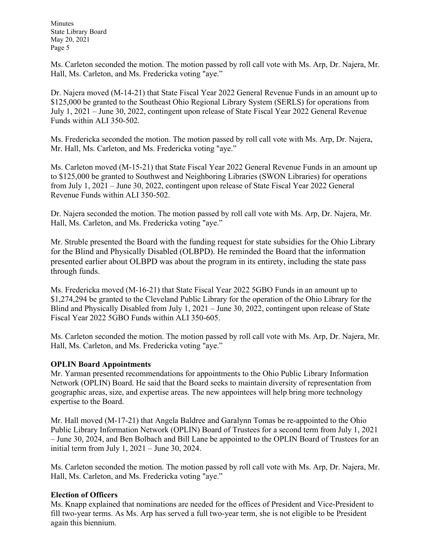Ms. Carleton seconded the motion. The motion passed by roll call vote with Ms. Arp, Dr. Najera, Mr. Hall, Ms. Carleton, and Ms. Fredericka voting "aye."

Dr. Najera moved (M-14-21) that State Fiscal Year 2022 General Revenue Funds in an amount up to \$125,000 be granted to the Southeast Ohio Regional Library System (SERLS) for operations from July 1, 2021 – June 30, 2022, contingent upon release of State Fiscal Year 2022 General Revenue Funds within ALI 350-502.

Ms. Fredericka seconded the motion. The motion passed by roll call vote with Ms. Arp, Dr. Najera, Mr. Hall, Ms. Carleton, and Ms. Fredericka voting "aye."

Ms. Carleton moved (M-15-21) that State Fiscal Year 2022 General Revenue Funds in an amount up to \$125,000 be granted to Southwest and Neighboring Libraries (SWON Libraries) for operations from July 1, 2021 – June 30, 2022, contingent upon release of State Fiscal Year 2022 General Revenue Funds within ALI 350-502.

Dr. Najera seconded the motion. The motion passed by roll call vote with Ms. Arp, Dr. Najera, Mr. Hall, Ms. Carleton, and Ms. Fredericka voting "aye."

Mr. Struble presented the Board with the funding request for state subsidies for the Ohio Library for the Blind and Physically Disabled (OLBPD). He reminded the Board that the information presented earlier about OLBPD was about the program in its entirety, including the state pass through funds.

Ms. Fredericka moved (M-16-21) that State Fiscal Year 2022 5GBO Funds in an amount up to \$1,274,294 be granted to the Cleveland Public Library for the operation of the Ohio Library for the Blind and Physically Disabled from July 1, 2021 – June 30, 2022, contingent upon release of State Fiscal Year 2022 5GBO Funds within ALI 350-605.

Ms. Carleton seconded the motion. The motion passed by roll call vote with Ms. Arp, Dr. Najera, Mr. Hall, Ms. Carleton, and Ms. Fredericka voting "aye."

## **OPLIN Board Appointments**

Mr. Yarman presented recommendations for appointments to the Ohio Public Library Information Network (OPLIN) Board. He said that the Board seeks to maintain diversity of representation from geographic areas, size, and expertise areas. The new appointees will help bring more technology expertise to the Board.

Mr. Hall moved (M-17-21) that Angela Baldree and Garalynn Tomas be re-appointed to the Ohio Public Library Information Network (OPLIN) Board of Trustees for a second term from July 1, 2021 – June 30, 2024, and Ben Bolbach and Bill Lane be appointed to the OPLIN Board of Trustees for an initial term from July  $1, 2021 -$  June 30, 2024.

Ms. Carleton seconded the motion. The motion passed by roll call vote with Ms. Arp, Dr. Najera, Mr. Hall, Ms. Carleton, and Ms. Fredericka voting "aye."

## **Election of Officers**

Ms. Knapp explained that nominations are needed for the offices of President and Vice-President to fill two-year terms. As Ms. Arp has served a full two-year term, she is not eligible to be President again this biennium.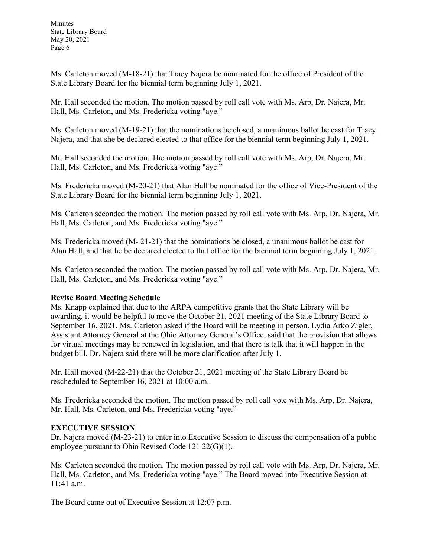Ms. Carleton moved (M-18-21) that Tracy Najera be nominated for the office of President of the State Library Board for the biennial term beginning July 1, 2021.

Mr. Hall seconded the motion. The motion passed by roll call vote with Ms. Arp, Dr. Najera, Mr. Hall, Ms. Carleton, and Ms. Fredericka voting "aye."

Ms. Carleton moved (M-19-21) that the nominations be closed, a unanimous ballot be cast for Tracy Najera, and that she be declared elected to that office for the biennial term beginning July 1, 2021.

Mr. Hall seconded the motion. The motion passed by roll call vote with Ms. Arp, Dr. Najera, Mr. Hall, Ms. Carleton, and Ms. Fredericka voting "aye."

Ms. Fredericka moved (M-20-21) that Alan Hall be nominated for the office of Vice-President of the State Library Board for the biennial term beginning July 1, 2021.

Ms. Carleton seconded the motion. The motion passed by roll call vote with Ms. Arp, Dr. Najera, Mr. Hall, Ms. Carleton, and Ms. Fredericka voting "aye."

Ms. Fredericka moved (M- 21-21) that the nominations be closed, a unanimous ballot be cast for Alan Hall, and that he be declared elected to that office for the biennial term beginning July 1, 2021.

Ms. Carleton seconded the motion. The motion passed by roll call vote with Ms. Arp, Dr. Najera, Mr. Hall, Ms. Carleton, and Ms. Fredericka voting "aye."

## **Revise Board Meeting Schedule**

Ms. Knapp explained that due to the ARPA competitive grants that the State Library will be awarding, it would be helpful to move the October 21, 2021 meeting of the State Library Board to September 16, 2021. Ms. Carleton asked if the Board will be meeting in person. Lydia Arko Zigler, Assistant Attorney General at the Ohio Attorney General's Office, said that the provision that allows for virtual meetings may be renewed in legislation, and that there is talk that it will happen in the budget bill. Dr. Najera said there will be more clarification after July 1.

Mr. Hall moved (M-22-21) that the October 21, 2021 meeting of the State Library Board be rescheduled to September 16, 2021 at 10:00 a.m.

Ms. Fredericka seconded the motion. The motion passed by roll call vote with Ms. Arp, Dr. Najera, Mr. Hall, Ms. Carleton, and Ms. Fredericka voting "aye."

## **EXECUTIVE SESSION**

Dr. Najera moved (M-23-21) to enter into Executive Session to discuss the compensation of a public employee pursuant to Ohio Revised Code 121.22(G)(1).

Ms. Carleton seconded the motion. The motion passed by roll call vote with Ms. Arp, Dr. Najera, Mr. Hall, Ms. Carleton, and Ms. Fredericka voting "aye." The Board moved into Executive Session at 11:41 a.m.

The Board came out of Executive Session at 12:07 p.m.